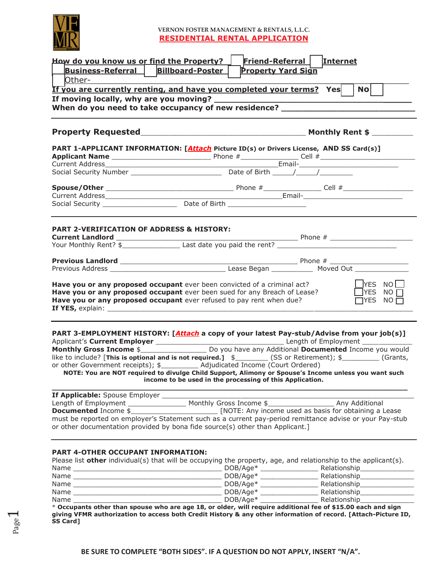

## **VERNON FOSTER MANAGEMENT & RENTALS, L.L.C. RESIDENTIAL RENTAL APPLICATION**

| Friend-Referral Internet<br>How do you know us or find the Property?<br><b>Billboard-Poster</b><br>Business-Referral<br><b>Property Yard Sign</b><br>  Other-                              |                                                                                                                                                                                                                                                                                                                                                                                                                                                                                                |  |  |  |  |
|--------------------------------------------------------------------------------------------------------------------------------------------------------------------------------------------|------------------------------------------------------------------------------------------------------------------------------------------------------------------------------------------------------------------------------------------------------------------------------------------------------------------------------------------------------------------------------------------------------------------------------------------------------------------------------------------------|--|--|--|--|
|                                                                                                                                                                                            | <u>If you are currently renting, and have you completed your terms?</u> Yes<br>N <sub>O</sub>                                                                                                                                                                                                                                                                                                                                                                                                  |  |  |  |  |
|                                                                                                                                                                                            | When do you need to take occupancy of new residence? ___________________________                                                                                                                                                                                                                                                                                                                                                                                                               |  |  |  |  |
|                                                                                                                                                                                            |                                                                                                                                                                                                                                                                                                                                                                                                                                                                                                |  |  |  |  |
|                                                                                                                                                                                            |                                                                                                                                                                                                                                                                                                                                                                                                                                                                                                |  |  |  |  |
|                                                                                                                                                                                            | PART 1-APPLICANT INFORMATION: [Attach Picture ID(s) or Drivers License, AND SS Card(s)]<br>Applicant Name<br>Current Address<br>Social Security Number<br>Social Security Number<br>Call Security Number<br>Call Security Number<br>Date of Birth<br>Call Security Number<br>Date of Birth<br>Call Security Number<br>Date of Birth<br>Call Sec                                                                                                                                                |  |  |  |  |
|                                                                                                                                                                                            |                                                                                                                                                                                                                                                                                                                                                                                                                                                                                                |  |  |  |  |
|                                                                                                                                                                                            |                                                                                                                                                                                                                                                                                                                                                                                                                                                                                                |  |  |  |  |
|                                                                                                                                                                                            |                                                                                                                                                                                                                                                                                                                                                                                                                                                                                                |  |  |  |  |
|                                                                                                                                                                                            |                                                                                                                                                                                                                                                                                                                                                                                                                                                                                                |  |  |  |  |
|                                                                                                                                                                                            |                                                                                                                                                                                                                                                                                                                                                                                                                                                                                                |  |  |  |  |
| <b>PART 2-VERIFICATION OF ADDRESS &amp; HISTORY:</b>                                                                                                                                       |                                                                                                                                                                                                                                                                                                                                                                                                                                                                                                |  |  |  |  |
|                                                                                                                                                                                            |                                                                                                                                                                                                                                                                                                                                                                                                                                                                                                |  |  |  |  |
|                                                                                                                                                                                            |                                                                                                                                                                                                                                                                                                                                                                                                                                                                                                |  |  |  |  |
|                                                                                                                                                                                            |                                                                                                                                                                                                                                                                                                                                                                                                                                                                                                |  |  |  |  |
| <b>Have you or any proposed occupant</b> ever been convicted of a criminal act?<br>Have you or any proposed occupant ever refused to pay rent when due?                                    | <b>PYES NO</b><br>Have you or any proposed occupant ever been sued for any Breach of Lease?<br>$\Box$ YES NO $\Box$<br>$\Box$ YES NO $\Box$                                                                                                                                                                                                                                                                                                                                                    |  |  |  |  |
| or other Government receipts); \$___________ Adjudicated Income (Court Ordered)                                                                                                            | PART 3-EMPLOYMENT HISTORY: [Attach a copy of your latest Pay-stub/Advise from your job(s)]<br>Monthly Gross Income \$_________________________ Do you have any Additional Documented Income you would<br>like to include? [This is optional and is not required.] $\frac{1}{2}$ (SS or Retirement); $\frac{1}{2}$ (Grants,<br>NOTE: You are NOT required to divulge Child Support, Alimony or Spouse's Income unless you want such<br>income to be used in the processing of this Application. |  |  |  |  |
| If Applicable: Spouse Employer _____<br>Length of Employment ___________________ Monthly Gross Income \$_<br>or other documentation provided by bona fide source(s) other than Applicant.] | Any Additional<br>must be reported on employer's Statement such as a current pay-period remittance advise or your Pay-stub                                                                                                                                                                                                                                                                                                                                                                     |  |  |  |  |

# **PART 4-OTHER OCCUPANT INFORMATION:**

| Please list other individual(s) that will be occupying the property, age, and relationship to the applicant(s). |            |              |
|-----------------------------------------------------------------------------------------------------------------|------------|--------------|
| Name                                                                                                            | $DOB/Aqe*$ | Relationship |
| Name                                                                                                            | $DOB/Age*$ | Relationship |
| Name                                                                                                            | $DOB/Age*$ | Relationship |
| Name                                                                                                            | $DOB/Age*$ | Relationship |
| Name                                                                                                            | $DOB/Aae*$ | Relationship |
| * Occupation than them customer units and 10 and day will nomine additional for of #15.00 sock and clay         |            |              |

\* **Occupants other than spouse who are age 18, or older, will require additional fee of \$15.00 each and sign giving VFMR authorization to access both Credit History & any other information of record. [Attach-Picture ID, SS Card]**